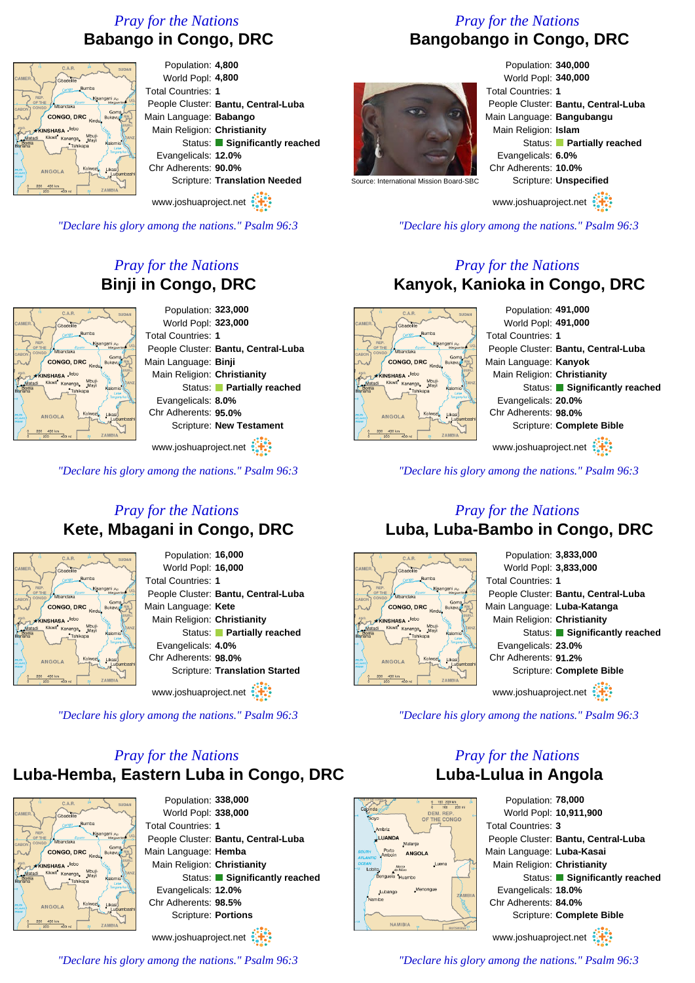## *Pray for the Nations* **Babango in Congo, DRC**



People Cluster: **Bantu, Central-Luba** Main Language: **Babango** Main Religion: **Christianity** Status: **Significantly reached** Scripture: **Translation Needed**

www.joshuaproject.net

*"Declare his glory among the nations." Psalm 96:3*

## *Pray for the Nations* **Binji in Congo, DRC**



www.joshuaproject.net

*"Declare his glory among the nations." Psalm 96:3*

## *Pray for the Nations* **Kete, Mbagani in Congo, DRC**



*"Declare his glory among the nations." Psalm 96:3*

# *Pray for the Nations* **Luba-Hemba, Eastern Luba in Congo, DRC**



Population: **338,000** World Popl: **338,000** Total Countries: **1** People Cluster: **Bantu, Central-Luba** Main Language: **Hemba** Main Religion: **Christianity** Status: **Significantly reached** Evangelicals: **12.0%** Chr Adherents: **98.5%** Scripture: **Portions** www.joshuaproject.net

*Pray for the Nations* **Bangobango in Congo, DRC**



Population: **340,000** World Popl: **340,000** Total Countries: **1** People Cluster: **Bantu, Central-Luba** Main Language: **Bangubangu** Main Religion: **Islam** Status: **Partially reached** Evangelicals: **6.0%** Chr Adherents: **10.0%** Scripture: **Unspecified**

www.joshuaproject.net

*"Declare his glory among the nations." Psalm 96:3*

### *Pray for the Nations* **Kanyok, Kanioka in Congo, DRC**



*"Declare his glory among the nations." Psalm 96:3*

### *Pray for the Nations* **Luba, Luba-Bambo in Congo, DRC**



*"Declare his glory among the nations." Psalm 96:3*

## *Pray for the Nations* **Luba-Lulua in Angola**



Population: **78,000** World Popl: **10,911,900** Total Countries: **3** People Cluster: **Bantu, Central-Luba** Main Language: **Luba-Kasai** Main Religion: **Christianity** Status: **Significantly reached** Evangelicals: **18.0%** Chr Adherents: **84.0%** Scripture: **Complete Bible** www.joshuaproject.net

*"Declare his glory among the nations." Psalm 96:3*

*"Declare his glory among the nations." Psalm 96:3*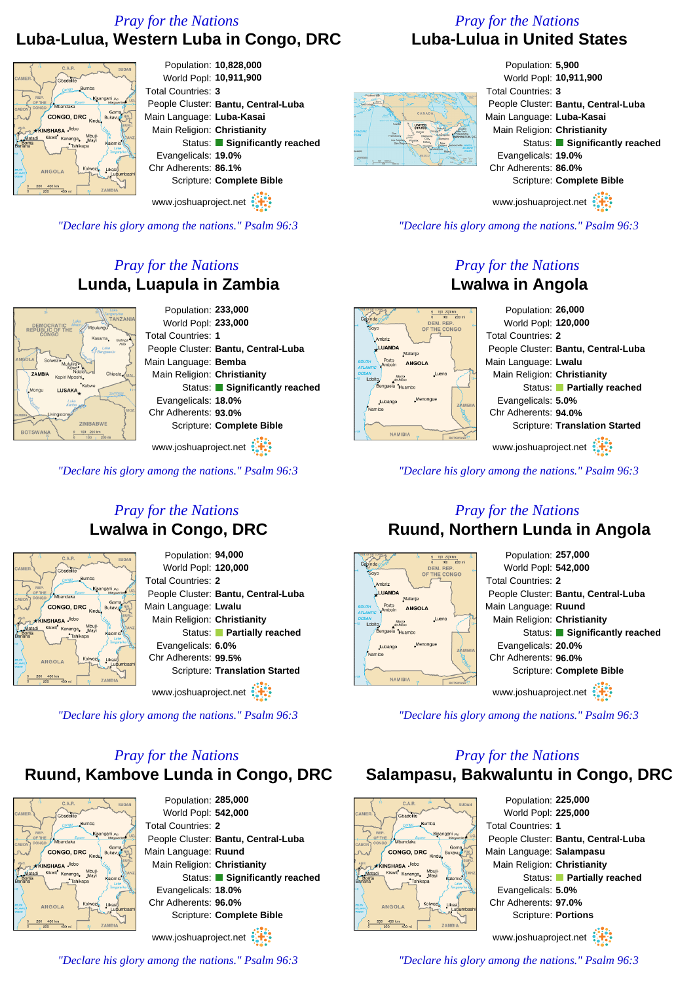## *Pray for the Nations* **Luba-Lulua, Western Luba in Congo, DRC**

#### Population: **10,828,000** World Popl: **10,911,900** Total Countries: **3** People Cluster: **Bantu, Central-Luba** Main Language: **Luba-Kasai** CONGO DRC Main Religion: **Christianity** enne Status: **Significantly reached** Evangelicals: **19.0%** Chr Adherents: **86.1%** Scripture: **Complete Bible**

www.joshuaproject.net

*"Declare his glory among the nations." Psalm 96:3*

## *Pray for the Nations* **Lunda, Luapula in Zambia**



www.joshuaproject.net

*"Declare his glory among the nations." Psalm 96:3*

### *Pray for the Nations* **Lwalwa in Congo, DRC**



Population: **94,000** World Popl: **120,000** Total Countries: **2** People Cluster: **Bantu, Central-Luba** Main Language: **Lwalu** Main Religion: **Christianity** Status: **Partially reached** Evangelicals: **6.0%** Chr Adherents: **99.5%** Scripture: **Translation Started**

www.joshuaproject.net :

*"Declare his glory among the nations." Psalm 96:3*

## *Pray for the Nations* **Ruund, Kambove Lunda in Congo, DRC**



Population: **285,000** World Popl: **542,000** Total Countries: **2** People Cluster: **Bantu, Central-Luba** Main Language: **Ruund** Main Religion: **Christianity** Status: **Significantly reached** Evangelicals: **18.0%** Chr Adherents: **96.0%** Scripture: **Complete Bible** www.joshuaproject.net

*"Declare his glory among the nations." Psalm 96:3*

### *Pray for the Nations* **Luba-Lulua in United States**



Population: **5,900** World Popl: **10,911,900** Total Countries: **3** People Cluster: **Bantu, Central-Luba** Main Language: **Luba-Kasai** Main Religion: **Christianity** Status: **Significantly reached** Evangelicals: **19.0%** Chr Adherents: **86.0%** Scripture: **Complete Bible**

www.joshuaproject.net

*"Declare his glory among the nations." Psalm 96:3*

### *Pray for the Nations* **Lwalwa in Angola**



*"Declare his glory among the nations." Psalm 96:3*

#### *Pray for the Nations* **Ruund, Northern Lunda in Angola**



*"Declare his glory among the nations." Psalm 96:3*

### *Pray for the Nations* **Salampasu, Bakwaluntu in Congo, DRC**



*"Declare his glory among the nations." Psalm 96:3*